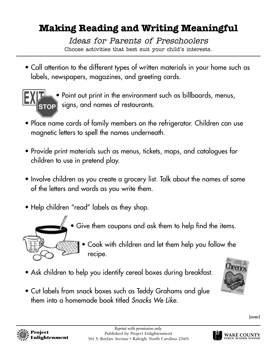## **Making Reading and Writing Meaningful**

Ideas for Parents of Preschoolers Choose activities that best suit your child's interests.

• Call attention to the different types of written materials in your home such as labels, newspapers, magazines, and greeting cards.



• Point out print in the environment such as billboards, menus, signs, and names of restaurants.

- Place name cards of family members on the refrigerator. Children can use magnetic letters to spell the names underneath.
- Provide print materials such as menus, tickets, maps, and catalogues for children to use in pretend play.
- Involve children as you create a grocery list. Talk about the names of some of the letters and words as you write them.
- Help children "read" labels as they shop.



- Give them coupons and ask them to help find the items.
	- Cook with children and let them help you follow the recipe.
- Ask children to help you identify cereal boxes during breakfast.
- Cut labels from snack boxes such as Teddy Grahams and glue them into a homemade book titled *Snacks We Like*.